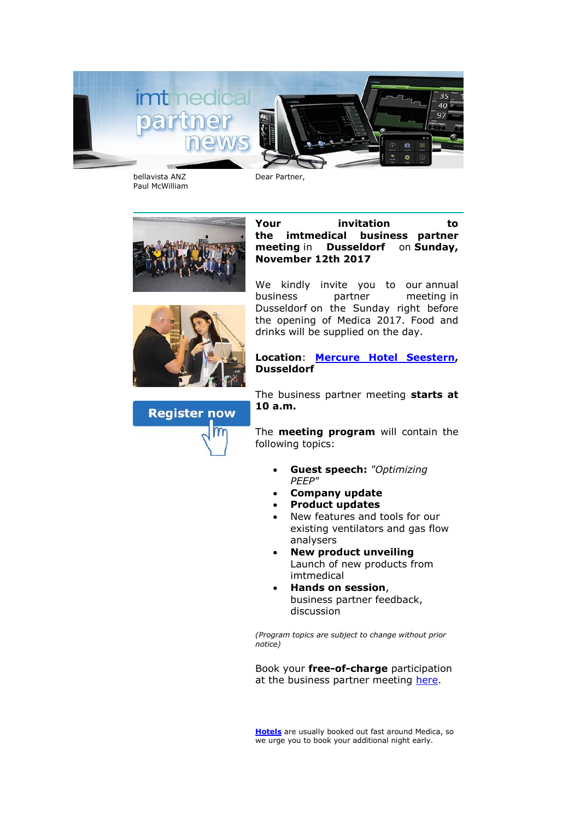

bellavista ANZ Paul McWilliam Dear Partner,





**Your invitation to the imtmedical business partner meeting** in **Dusseldorf** on **Sunday, November 12th 2017**

We kindly invite you to our annual business partner meeting in Dusseldorf on the Sunday right before the opening of Medica 2017. Food and drinks will be supplied on the day.

**Location**: **[Mercure Hotel Seestern,](http://www.mercure.com/gb/hotel-2199-mercure-hotel-duesseldorf-seestern/index.shtml) Dusseldorf**

The business partner meeting **starts at 10 a.m.**

The **meeting program** will contain the following topics:

- **Guest speech:** *"Optimizing PEEP"*
- **Company update**
- **Product updates**
- New features and tools for our existing ventilators and gas flow analysers
- **New product unveiling** Launch of new products from imtmedical
- **Hands on session**, business partner feedback, discussion

*(Program topics are subject to change without prior notice)*

Book your **free-of-charge** participation at the business partner meeting [here.](mailto:marketing@imtmedical.com?subject=Registration%20Business%20Partner%20Meeting%2012.11.2017&body=Good%20day%0AI%20would%20like%20to%20register%20me/us%20for%20the%20Business%20Partner%20Meeting.%0A%0ACompany:%0A%0ANumber%20of%20people:%0A%0AName%20Participant%201:%0A%0AName%20Participant%202:%0A%0AName%20Participant%203:)

**[Hotels](https://www.duesseldorf-tourismus.de/messe/medica/)** are usually booked out fast around Medica, so we urge you to book your additional night early.